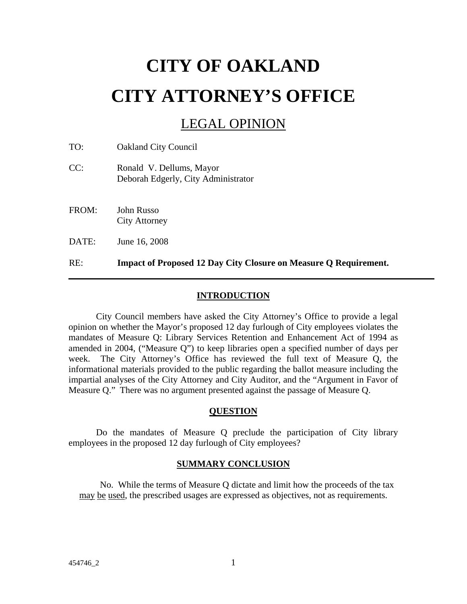# **CITY OF OAKLAND CITY ATTORNEY'S OFFICE**

# LEGAL OPINION

TO: Oakland City Council

- CC: Ronald V. Dellums, Mayor Deborah Edgerly, City Administrator
- FROM: John Russo City Attorney

DATE: June 16, 2008

RE: **Impact of Proposed 12 Day City Closure on Measure Q Requirement.** 

## **INTRODUCTION**

 City Council members have asked the City Attorney's Office to provide a legal opinion on whether the Mayor's proposed 12 day furlough of City employees violates the mandates of Measure Q: Library Services Retention and Enhancement Act of 1994 as amended in 2004, ("Measure Q") to keep libraries open a specified number of days per week. The City Attorney's Office has reviewed the full text of Measure Q, the informational materials provided to the public regarding the ballot measure including the impartial analyses of the City Attorney and City Auditor, and the "Argument in Favor of Measure Q." There was no argument presented against the passage of Measure Q.

#### **QUESTION**

 Do the mandates of Measure Q preclude the participation of City library employees in the proposed 12 day furlough of City employees?

#### **SUMMARY CONCLUSION**

No. While the terms of Measure Q dictate and limit how the proceeds of the tax may be used, the prescribed usages are expressed as objectives, not as requirements.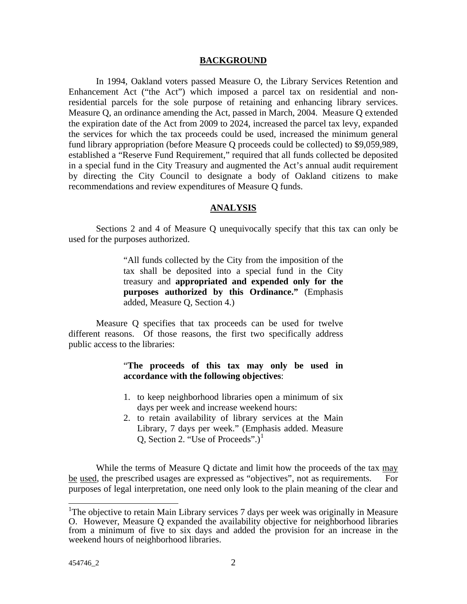#### **BACKGROUND**

 In 1994, Oakland voters passed Measure O, the Library Services Retention and Enhancement Act ("the Act") which imposed a parcel tax on residential and nonresidential parcels for the sole purpose of retaining and enhancing library services. Measure Q, an ordinance amending the Act, passed in March, 2004. Measure Q extended the expiration date of the Act from 2009 to 2024, increased the parcel tax levy, expanded the services for which the tax proceeds could be used, increased the minimum general fund library appropriation (before Measure Q proceeds could be collected) to \$9,059,989, established a "Reserve Fund Requirement," required that all funds collected be deposited in a special fund in the City Treasury and augmented the Act's annual audit requirement by directing the City Council to designate a body of Oakland citizens to make recommendations and review expenditures of Measure Q funds.

#### **ANALYSIS**

 Sections 2 and 4 of Measure Q unequivocally specify that this tax can only be used for the purposes authorized.

> "All funds collected by the City from the imposition of the tax shall be deposited into a special fund in the City treasury and **appropriated and expended only for the purposes authorized by this Ordinance."** (Emphasis added, Measure Q, Section 4.)

Measure Q specifies that tax proceeds can be used for twelve different reasons. Of those reasons, the first two specifically address public access to the libraries:

### "**The proceeds of this tax may only be used in accordance with the following objectives**:

- 1. to keep neighborhood libraries open a minimum of six days per week and increase weekend hours:
- 2. to retain availability of library services at the Main Library, 7 days per week." (Emphasis added. Measure Q, Section 2. "Use of Proceeds".) $^1$  $^1$

While the terms of Measure Q dictate and limit how the proceeds of the tax may be used, the prescribed usages are expressed as "objectives", not as requirements. For purposes of legal interpretation, one need only look to the plain meaning of the clear and

<span id="page-1-0"></span><sup>&</sup>lt;sup>1</sup>The objective to retain Main Library services 7 days per week was originally in Measure O. However, Measure Q expanded the availability objective for neighborhood libraries from a minimum of five to six days and added the provision for an increase in the weekend hours of neighborhood libraries.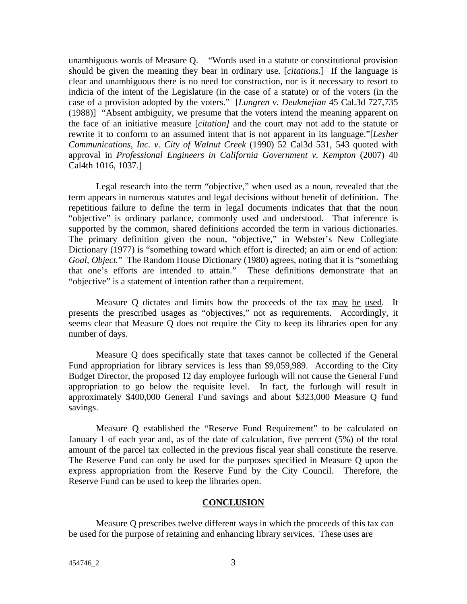unambiguous words of Measure Q. "Words used in a statute or constitutional provision should be given the meaning they bear in ordinary use. [*citations.*] If the language is clear and unambiguous there is no need for construction, nor is it necessary to resort to indicia of the intent of the Legislature (in the case of a statute) or of the voters (in the case of a provision adopted by the voters." [*Lungren v. Deukmejian* 45 Cal.3d 727,735 (1988)] "Absent ambiguity, we presume that the voters intend the meaning apparent on the face of an initiative measure [*citation]* and the court may not add to the statute or rewrite it to conform to an assumed intent that is not apparent in its language."[*Lesher Communications, Inc. v. City of Walnut Creek* (1990) 52 Cal3d 531, 543 quoted with approval in *Professional Engineers in California Government v. Kempton* (2007) 40 Cal4th 1016, 1037.]

Legal research into the term "objective," when used as a noun, revealed that the term appears in numerous statutes and legal decisions without benefit of definition. The repetitious failure to define the term in legal documents indicates that that the noun "objective" is ordinary parlance, commonly used and understood. That inference is supported by the common, shared definitions accorded the term in various dictionaries. The primary definition given the noun, "objective," in Webster's New Collegiate Dictionary (1977) is "something toward which effort is directed; an aim or end of action: *Goal, Object.*" The Random House Dictionary (1980) agrees, noting that it is "something that one's efforts are intended to attain." These definitions demonstrate that an "objective" is a statement of intention rather than a requirement.

Measure Q dictates and limits how the proceeds of the tax may be used. It presents the prescribed usages as "objectives," not as requirements. Accordingly, it seems clear that Measure Q does not require the City to keep its libraries open for any number of days.

Measure Q does specifically state that taxes cannot be collected if the General Fund appropriation for library services is less than \$9,059,989. According to the City Budget Director, the proposed 12 day employee furlough will not cause the General Fund appropriation to go below the requisite level. In fact, the furlough will result in approximately \$400,000 General Fund savings and about \$323,000 Measure Q fund savings.

Measure Q established the "Reserve Fund Requirement" to be calculated on January 1 of each year and, as of the date of calculation, five percent (5%) of the total amount of the parcel tax collected in the previous fiscal year shall constitute the reserve. The Reserve Fund can only be used for the purposes specified in Measure Q upon the express appropriation from the Reserve Fund by the City Council. Therefore, the Reserve Fund can be used to keep the libraries open.

#### **CONCLUSION**

 Measure Q prescribes twelve different ways in which the proceeds of this tax can be used for the purpose of retaining and enhancing library services. These uses are